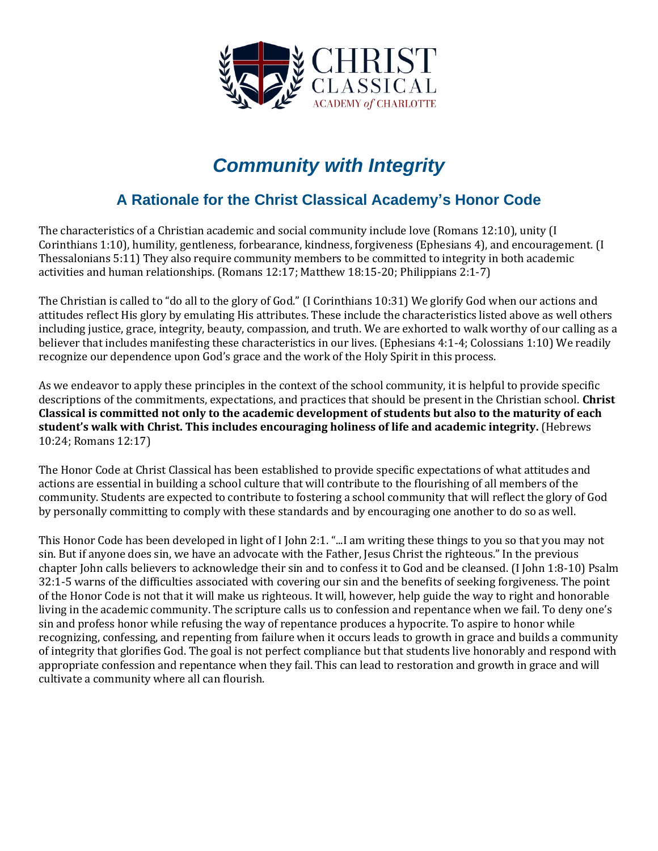

# *Community with Integrity*

### **A Rationale for the Christ Classical Academy's Honor Code**

The characteristics of a Christian academic and social community include love (Romans 12:10), unity (I Corinthians 1:10), humility, gentleness, forbearance, kindness, forgiveness (Ephesians 4), and encouragement. (I Thessalonians 5:11) They also require community members to be committed to integrity in both academic activities and human relationships. (Romans 12:17; Matthew 18:15-20; Philippians 2:1-7)

The Christian is called to "do all to the glory of God." (I Corinthians 10:31) We glorify God when our actions and attitudes reflect His glory by emulating His attributes. These include the characteristics listed above as well others including justice, grace, integrity, beauty, compassion, and truth. We are exhorted to walk worthy of our calling as a believer that includes manifesting these characteristics in our lives. (Ephesians 4:1-4; Colossians 1:10) We readily recognize our dependence upon God's grace and the work of the Holy Spirit in this process.

As we endeavor to apply these principles in the context of the school community, it is helpful to provide specific descriptions of the commitments, expectations, and practices that should be present in the Christian school. **Christ Classical is committed not only to the academic development of students but also to the maturity of each student's walk with Christ. This includes encouraging holiness of life and academic integrity.** (Hebrews 10:24; Romans 12:17)

The Honor Code at Christ Classical has been established to provide specific expectations of what attitudes and actions are essential in building a school culture that will contribute to the flourishing of all members of the community. Students are expected to contribute to fostering a school community that will reflect the glory of God by personally committing to comply with these standards and by encouraging one another to do so as well.

This Honor Code has been developed in light of I John 2:1. "...I am writing these things to you so that you may not sin. But if anyone does sin, we have an advocate with the Father, Jesus Christ the righteous." In the previous chapter John calls believers to acknowledge their sin and to confess it to God and be cleansed. (I John 1:8-10) Psalm 32:1-5 warns of the difficulties associated with covering our sin and the benefits of seeking forgiveness. The point of the Honor Code is not that it will make us righteous. It will, however, help guide the way to right and honorable living in the academic community. The scripture calls us to confession and repentance when we fail. To deny one's sin and profess honor while refusing the way of repentance produces a hypocrite. To aspire to honor while recognizing, confessing, and repenting from failure when it occurs leads to growth in grace and builds a community of integrity that glorifies God. The goal is not perfect compliance but that students live honorably and respond with appropriate confession and repentance when they fail. This can lead to restoration and growth in grace and will cultivate a community where all can flourish.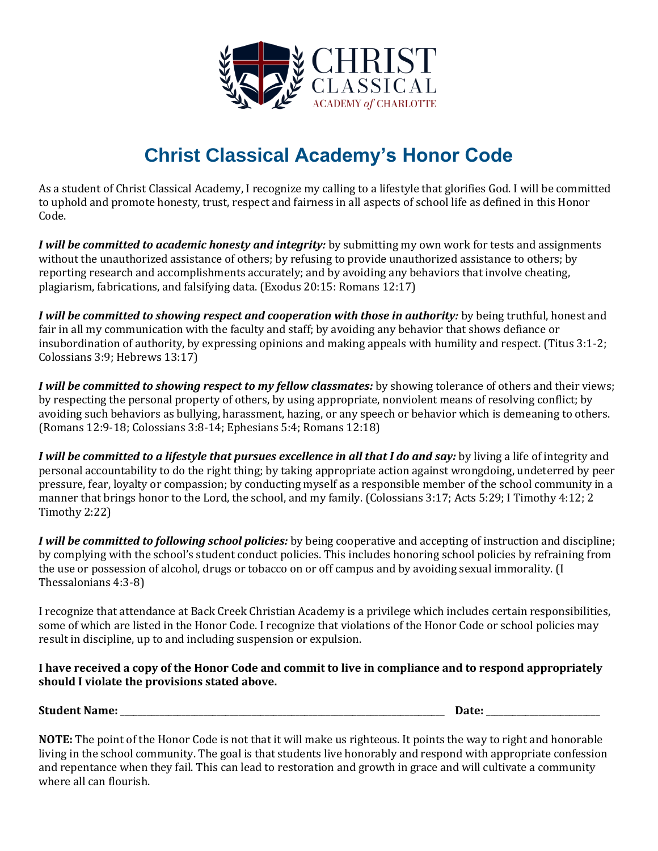

# **Christ Classical Academy's Honor Code**

As a student of Christ Classical Academy, I recognize my calling to a lifestyle that glorifies God. I will be committed to uphold and promote honesty, trust, respect and fairness in all aspects of school life as defined in this Honor Code.

*I will be committed to academic honesty and integrity:* by submitting my own work for tests and assignments without the unauthorized assistance of others; by refusing to provide unauthorized assistance to others; by reporting research and accomplishments accurately; and by avoiding any behaviors that involve cheating, plagiarism, fabrications, and falsifying data. (Exodus 20:15: Romans 12:17)

*I will be committed to showing respect and cooperation with those in authority:* by being truthful, honest and fair in all my communication with the faculty and staff; by avoiding any behavior that shows defiance or insubordination of authority, by expressing opinions and making appeals with humility and respect. (Titus 3:1-2; Colossians 3:9; Hebrews 13:17)

*I will be committed to showing respect to my fellow classmates:* by showing tolerance of others and their views; by respecting the personal property of others, by using appropriate, nonviolent means of resolving conflict; by avoiding such behaviors as bullying, harassment, hazing, or any speech or behavior which is demeaning to others. (Romans 12:9-18; Colossians 3:8-14; Ephesians 5:4; Romans 12:18)

*I will be committed to a lifestyle that pursues excellence in all that I do and say:* by living a life of integrity and personal accountability to do the right thing; by taking appropriate action against wrongdoing, undeterred by peer pressure, fear, loyalty or compassion; by conducting myself as a responsible member of the school community in a manner that brings honor to the Lord, the school, and my family. (Colossians 3:17; Acts 5:29; I Timothy 4:12; 2 Timothy 2:22)

*I will be committed to following school policies:* by being cooperative and accepting of instruction and discipline; by complying with the school's student conduct policies. This includes honoring school policies by refraining from the use or possession of alcohol, drugs or tobacco on or off campus and by avoiding sexual immorality. (I Thessalonians 4:3-8)

I recognize that attendance at Back Creek Christian Academy is a privilege which includes certain responsibilities, some of which are listed in the Honor Code. I recognize that violations of the Honor Code or school policies may result in discipline, up to and including suspension or expulsion.

### **I have received a copy of the Honor Code and commit to live in compliance and to respond appropriately should I violate the provisions stated above.**

**Student Name:** \_\_\_\_\_\_\_\_\_\_\_\_\_\_\_\_\_\_\_\_\_\_\_\_\_\_\_\_\_\_\_\_\_\_\_\_\_\_\_\_\_\_\_\_\_\_\_\_\_\_\_\_\_\_\_\_\_\_\_\_\_\_\_\_\_\_\_\_\_\_\_\_\_\_ **Date:** \_\_\_\_\_\_\_\_\_\_\_\_\_\_\_\_\_\_\_\_\_\_\_\_\_\_

**NOTE:** The point of the Honor Code is not that it will make us righteous. It points the way to right and honorable living in the school community. The goal is that students live honorably and respond with appropriate confession and repentance when they fail. This can lead to restoration and growth in grace and will cultivate a community where all can flourish.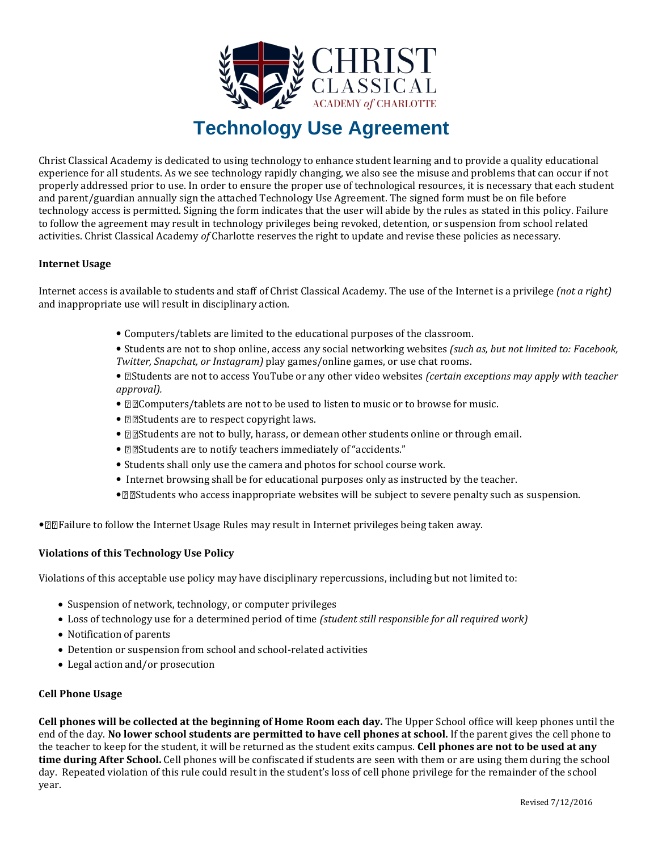

# **Technology Use Agreement**

Christ Classical Academy is dedicated to using technology to enhance student learning and to provide a quality educational experience for all students. As we see technology rapidly changing, we also see the misuse and problems that can occur if not properly addressed prior to use. In order to ensure the proper use of technological resources, it is necessary that each student and parent/guardian annually sign the attached Technology Use Agreement. The signed form must be on file before technology access is permitted. Signing the form indicates that the user will abide by the rules as stated in this policy. Failure to follow the agreement may result in technology privileges being revoked, detention, or suspension from school related activities. Christ Classical Academy *of* Charlotte reserves the right to update and revise these policies as necessary.

#### **Internet Usage**

Internet access is available to students and staff of Christ Classical Academy. The use of the Internet is a privilege *(not a right)* and inappropriate use will result in disciplinary action.

- Computers/tablets are limited to the educational purposes of the classroom.
- Students are not to shop online, access any social networking websites *(such as, but not limited to: Facebook, Twitter, Snapchat, or Instagram)* play games/online games, or use chat rooms.
- *©Students are not to access YouTube or any other video websites (certain exceptions may apply with teacher approval).*
- **ZZComputers/tablets are not to be used to listen to music or to browse for music.**
- **EXIMENTS** are to respect copyright laws.
- **Notabler 20** Students are not to bully, harass, or demean other students online or through email.
- **ØBStudents are to notify teachers immediately of "accidents."**
- Students shall only use the camera and photos for school course work.
- Internet browsing shall be for educational purposes only as instructed by the teacher.
- $\mathbb{Z} \mathbb{Z}$  Students who access inappropriate websites will be subject to severe penalty such as suspension.

• **The Integral of the Internet Usage Rules may result in Internet privileges being taken away.** 

#### **Violations of this Technology Use Policy**

Violations of this acceptable use policy may have disciplinary repercussions, including but not limited to:

- Suspension of network, technology, or computer privileges
- Loss of technology use for a determined period of time *(student still responsible for all required work)*
- Notification of parents
- Detention or suspension from school and school-related activities
- Legal action and/or prosecution

#### **Cell Phone Usage**

**Cell phones will be collected at the beginning of Home Room each day.** The Upper School office will keep phones until the end of the day. **No lower school students are permitted to have cell phones at school.** If the parent gives the cell phone to the teacher to keep for the student, it will be returned as the student exits campus. **Cell phones are not to be used at any time during After School.** Cell phones will be confiscated if students are seen with them or are using them during the school day. Repeated violation of this rule could result in the student's loss of cell phone privilege for the remainder of the school year.